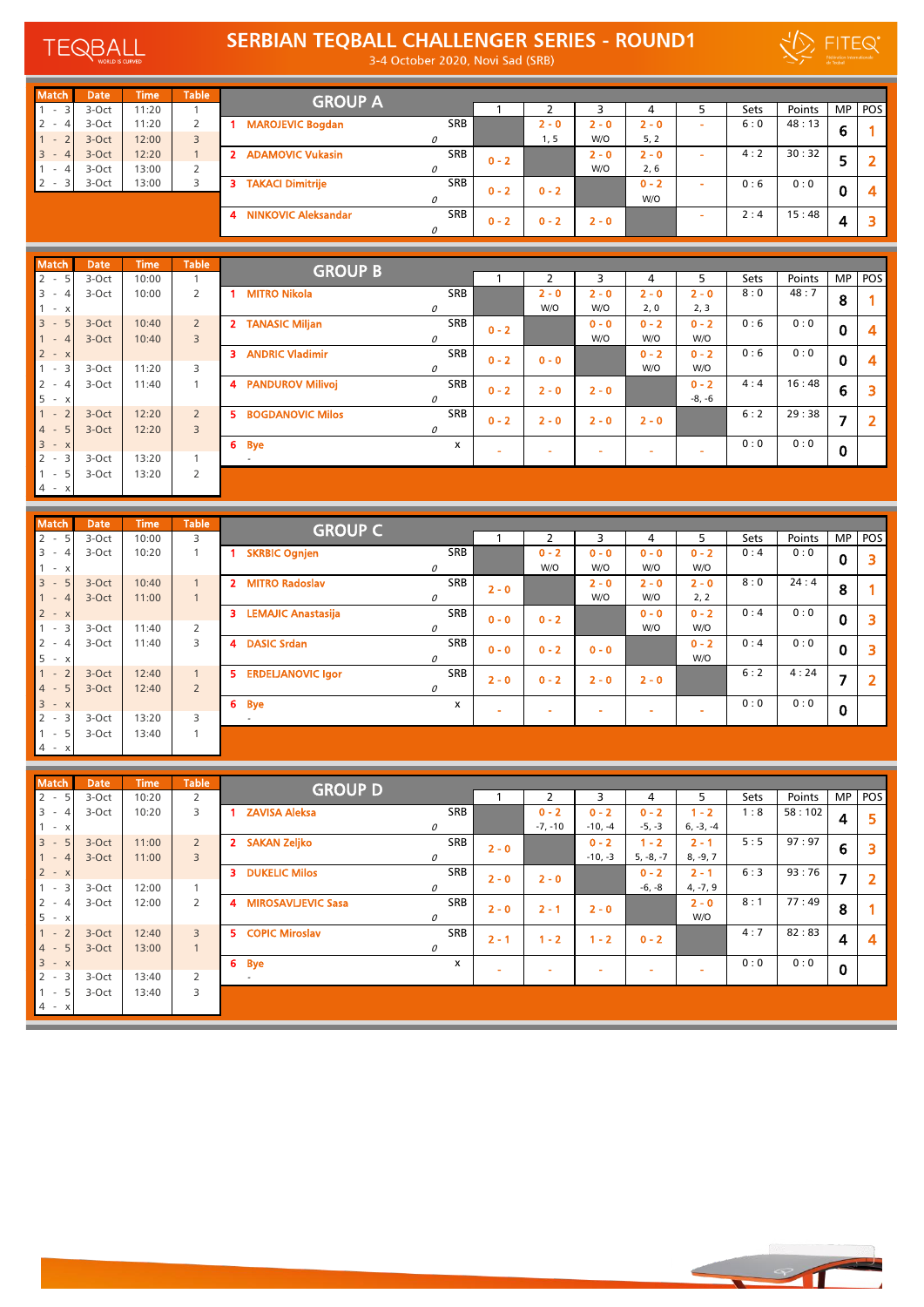

## SERBIAN TEQBALL CHALLENGER SERIES - ROUND1

3-4 October 2020, Novi Sad (SRB)

|   | _                                              |
|---|------------------------------------------------|
| - | <b>Fédération Internationale</b><br>de Tegball |

| <b>Match</b>                     | <b>Date</b> | <b>Time</b> | <b>Table</b> | <b>GROUP A</b>                                 |            |         |         |         |         |                          |      |        |           |     |
|----------------------------------|-------------|-------------|--------------|------------------------------------------------|------------|---------|---------|---------|---------|--------------------------|------|--------|-----------|-----|
| $\overline{3}$<br>$\sim$         | 3-Oct       | 11:20       |              |                                                |            |         |         |         | 4       |                          | Sets | Points | <b>MP</b> | POS |
| $2 -$                            | 3-Oct       | 11:20       |              | <b>MAROJEVIC Bogdan</b>                        | <b>SRB</b> |         | $2 - 0$ | 2 - 0   | $2 - 0$ | ÷                        | 6:0  | 48:13  | 6         |     |
| $\sim$<br>$\sim$                 | 3-Oct       | 12:00       | 3            |                                                | Ω          |         | 1, 5    | W/O     | 5, 2    |                          |      |        |           |     |
| $3 -$                            | $3-Oct$     | 12:20       |              | <b>ADAMOVIC Vukasin</b><br>-2                  | <b>SRB</b> | $0 - 2$ |         | $2 - 0$ | $2 - 0$ | $\overline{\phantom{a}}$ | 4:2  | 30:32  | 5         |     |
| $\sim$                           | 3-Oct       | 13:00       | 2            |                                                |            |         |         | W/O     | 2, 6    |                          |      |        |           |     |
| $\overline{\mathbf{3}}$<br>$2 -$ | 3-Oct       | 13:00       |              | <b>TAKACI Dimitrije</b><br>з                   | <b>SRB</b> | $0 - 2$ | $0 - 2$ |         | $0 - 2$ | ۰                        | 0:6  | 0:0    | 0         |     |
|                                  |             |             |              |                                                | n          |         |         |         | W/O     |                          |      |        |           |     |
|                                  |             |             |              | <b>NINKOVIC Aleksandar</b><br>$\boldsymbol{A}$ | SRB        | $0 - 2$ | $0 - 2$ | $2 - 0$ |         |                          | 2:4  | 15:48  | 4         |     |

| <b>Match</b>                                     | <b>Date</b> | <b>Time</b> | <b>Table</b>            | <b>GROUP B</b>                |     |         |         |         |         |          |      |        |                |                |
|--------------------------------------------------|-------------|-------------|-------------------------|-------------------------------|-----|---------|---------|---------|---------|----------|------|--------|----------------|----------------|
| $2 -$<br>5                                       | 3-Oct       | 10:00       |                         |                               |     |         |         | 3       | 4       | 5.       | Sets | Points |                | MP POS         |
| 3<br>$\overline{\phantom{a}}$                    | 3-Oct       | 10:00       | 2                       | <b>MITRO Nikola</b>           | SRB |         | $2 - 0$ | $2 - 0$ | $2 - 0$ | $2 - 0$  | 8:0  | 48:7   | 8              |                |
| $\mathsf{x}$<br>$\sim$                           |             |             |                         |                               | 0   |         | W/O     | W/O     | 2, 0    | 2, 3     |      |        |                |                |
| $\overline{3}$<br>$\sim$                         | 3-Oct       | 10:40       | $\overline{2}$          | 2 TANASIC Miljan              | SRB | $0 - 2$ |         | $0 - 0$ | $0 - 2$ | $0 - 2$  | 0:6  | 0:0    | $\mathbf 0$    | 4              |
| $\overline{\phantom{a}}$                         | 3-Oct       | 10:40       | $\overline{3}$          |                               | 0   |         |         | W/O     | W/O     | W/O      |      |        |                |                |
| $2 - x$                                          |             |             |                         | <b>ANDRIC Vladimir</b><br>з   | SRB | $0 - 2$ | $0 - 0$ |         | $0 - 2$ | $0 - 2$  | 0:6  | 0:0    | $\bf{0}$       | 4              |
| $\sim$                                           | 3-Oct       | 11:20       | 3                       |                               | 0   |         |         |         | W/O     | W/O      |      |        |                |                |
| $\overline{2}$<br>$\sim$                         | 3-Oct       | 11:40       |                         | <b>PANDUROV Milivoj</b><br>4  | SRB | $0 - 2$ | $2 - 0$ | $2 - 0$ |         | $0 - 2$  | 4:4  | 16:48  | 6              | 3              |
| 5<br>$\overline{a}$                              |             |             |                         |                               | 0   |         |         |         |         | $-8, -6$ |      |        |                |                |
| $\sim$                                           | 3-Oct       | 12:20       | $\overline{2}$          | 5.<br><b>BOGDANOVIC Milos</b> | SRB | $0 - 2$ | $2 - 0$ | $2 - 0$ | $2 - 0$ |          | 6:2  | 29:38  | $\overline{7}$ | $\overline{2}$ |
| 4 -                                              | 3-Oct       | 12:20       | $\overline{\mathbf{3}}$ |                               | 0   |         |         |         |         |          |      |        |                |                |
| $\overline{\mathbf{3}}$<br>$\mathsf X$<br>$\sim$ |             |             |                         | 6 Bye                         | x   |         |         |         |         |          | 0:0  | 0:0    | $\mathbf 0$    |                |
| $2 -$<br>3                                       | 3-Oct       | 13:20       |                         | $\overline{\phantom{a}}$      |     | $\sim$  | $\sim$  | $\sim$  |         |          |      |        |                |                |
| $\sim$                                           | 3-Oct       | 13:20       | 2                       |                               |     |         |         |         |         |          |      |        |                |                |
| $4 - x$                                          |             |             |                         |                               |     |         |         |         |         |          |      |        |                |                |

| <b>Match</b>                             | <b>Date</b> | <b>Time</b> | <b>Table</b>   | <b>GROUP C</b>                  |            |         |         |         |         |                          |             |        |             |        |
|------------------------------------------|-------------|-------------|----------------|---------------------------------|------------|---------|---------|---------|---------|--------------------------|-------------|--------|-------------|--------|
| $2 -$<br>5                               | 3-Oct       | 10:00       | 3              |                                 |            |         | h       |         | 4       | 5                        | <b>Sets</b> | Points |             | MP POS |
| $3 -$                                    | 3-Oct       | 10:20       |                | <b>SKRBIC Ognjen</b>            | <b>SRB</b> |         | $0 - 2$ | $0 - 0$ | $0 - 0$ | $0 - 2$                  | 0:4         | 0:0    | $\mathbf 0$ |        |
| $\mathbf{1}$<br>X <sub>1</sub><br>$\sim$ |             |             |                |                                 | 0          |         | W/O     | W/O     | W/O     | W/O                      |             |        |             |        |
| $3 -$                                    | 3-Oct       | 10:40       | 1              | 2 MITRO Radoslav                | <b>SRB</b> | $2 - 0$ |         | $2 - 0$ | $2 - 0$ | $2 - 0$                  | 8:0         | 24:4   | 8           |        |
| $1 -$                                    | 3-Oct       | 11:00       | $\mathbf{1}$   |                                 | 0          |         |         | W/O     | W/O     | 2, 2                     |             |        |             |        |
| $2 - x$                                  |             |             |                | <b>LEMAJIC Anastasija</b><br>з. | <b>SRB</b> | $0 - 0$ | $0 - 2$ |         | $0 - 0$ | $0 - 2$                  | 0:4         | 0:0    | $\mathbf 0$ |        |
| $1 -$<br>3                               | 3-Oct       | 11:40       | 2              |                                 | 0          |         |         |         | W/O     | W/O                      |             |        |             |        |
| $2 -$                                    | 3-Oct       | 11:40       | 3              | <b>DASIC Srdan</b><br>4         | SRB        | $0 - 0$ | $0 - 2$ | $0 - 0$ |         | $0 - 2$                  | 0:4         | 0:0    | $\mathbf 0$ | ∍      |
| 5<br>$\boldsymbol{\mathsf{X}}$<br>$\sim$ |             |             |                |                                 | 0          |         |         |         |         | W/O                      |             |        |             |        |
| $1 -$<br>$\overline{2}$                  | 3-Oct       | 12:40       | 1              | 5.<br><b>ERDELJANOVIC Igor</b>  | <b>SRB</b> | $2 - 0$ | $0 - 2$ | $2 - 0$ | $2 - 0$ |                          | 6:2         | 4:24   | 7           |        |
| $4 -$                                    | 3-Oct       | 12:40       | $\overline{2}$ |                                 | 0          |         |         |         |         |                          |             |        |             |        |
| $3 -$<br>$\mathsf{X}$                    |             |             |                | 6 Bye                           | x          |         | ÷       |         |         | $\overline{\phantom{a}}$ | 0:0         | 0:0    | $\mathbf 0$ |        |
| $2 -$<br>3                               | 3-Oct       | 13:20       | 3              |                                 |            |         |         |         |         |                          |             |        |             |        |
| $\mathbf{1}$<br>5<br>$\sim$              | 3-Oct       | 13:40       |                |                                 |            |         |         |         |         |                          |             |        |             |        |
| $4 - x$                                  |             |             |                |                                 |            |         |         |         |         |                          |             |        |             |        |

| <b>Match</b>                               | <b>Date</b> | <b>Time</b> | <b>Table</b>            | <b>GROUP D</b>                        |            |         |           |           |             |             |      |        |                |                |
|--------------------------------------------|-------------|-------------|-------------------------|---------------------------------------|------------|---------|-----------|-----------|-------------|-------------|------|--------|----------------|----------------|
| 5<br>$2 -$                                 | 3-Oct       | 10:20       | 2                       |                                       |            |         |           | 3         | 4           | 5.          | Sets | Points |                | MP POS         |
| $3 -$<br>4                                 | 3-Oct       | 10:20       | 3                       | <b>ZAVISA Aleksa</b>                  | <b>SRB</b> |         | $0 - 2$   | $0 - 2$   | $0 - 2$     | $1 - 2$     | 1:8  | 58:102 | 4              | 5              |
| $- X$                                      |             |             |                         |                                       | 0          |         | $-7, -10$ | $-10, -4$ | $-5, -3$    | $6, -3, -4$ |      |        |                |                |
| $\overline{3}$<br>5<br>$\sim$              | 3-Oct       | 11:00       | $\overline{2}$          | <b>SAKAN Zeljko</b><br>2 <sup>1</sup> | SRB        | $2 - 0$ |           | $0 - 2$   | $1 - 2$     | $2 - 1$     | 5:5  | 97:97  | 6              | 3              |
| $\overline{4}$<br>$\sim$                   | 3-Oct       | 11:00       | $\overline{\mathbf{3}}$ |                                       | 0          |         |           | $-10, -3$ | $5, -8, -7$ | $8, -9, 7$  |      |        |                |                |
| $2 - x$                                    |             |             |                         | <b>DUKELIC Milos</b><br>3.            | <b>SRB</b> | $2 - 0$ | $2 - 0$   |           | $0 - 2$     | $2 - 1$     | 6:3  | 93:76  | $\overline{7}$ | $\overline{2}$ |
| $\overline{\mathbf{3}}$<br>$\sim$          | 3-Oct       | 12:00       |                         |                                       | 0          |         |           |           | $-6, -8$    | $4, -7, 9$  |      |        |                |                |
| $\overline{2}$<br>$\overline{4}$<br>$\sim$ | 3-Oct       | 12:00       | 2                       | <b>MIROSAVLIEVIC Sasa</b><br>4        | <b>SRB</b> | $2 - 0$ | $2 - 1$   | $2 - 0$   |             | $2 - 0$     | 8:1  | 77:49  | 8              |                |
| $5 -$<br>$\boldsymbol{\mathsf{x}}$         |             |             |                         |                                       | 0          |         |           |           |             | W/O         |      |        |                |                |
| $\overline{2}$<br>$\sim$                   | 3-Oct       | 12:40       | $\overline{3}$          | 5 COPIC Miroslav                      | <b>SRB</b> | $2 - 1$ | $1 - 2$   | $1 - 2$   | $0 - 2$     |             | 4:7  | 82:83  | $\overline{4}$ | $\overline{4}$ |
| $4 -$<br>5                                 | 3-Oct       | 13:00       |                         |                                       | 0          |         |           |           |             |             |      |        |                |                |
| $3 -$<br>$\mathsf{X}$                      |             |             |                         | 6 Bye                                 | x          |         |           |           |             |             | 0:0  | 0:0    | $\mathbf 0$    |                |
| $2 -$<br>3                                 | 3-Oct       | 13:40       | 2                       | $\overline{\phantom{a}}$              |            |         |           | ۰         |             | ۰           |      |        |                |                |
| 5<br>$\sim$                                | 3-Oct       | 13:40       | 3                       |                                       |            |         |           |           |             |             |      |        |                |                |
| $4 - x$                                    |             |             |                         |                                       |            |         |           |           |             |             |      |        |                |                |

- 1